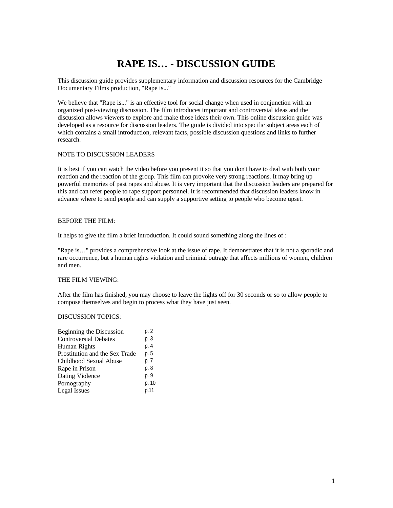# **RAPE IS… - DISCUSSION GUIDE**

This discussion guide provides supplementary information and discussion resources for the Cambridge Documentary Films production, "Rape is..."

We believe that "Rape is..." is an effective tool for social change when used in conjunction with an organized post-viewing discussion. The film introduces important and controversial ideas and the discussion allows viewers to explore and make those ideas their own. This online discussion guide was developed as a resource for discussion leaders. The guide is divided into specific subject areas each of which contains a small introduction, relevant facts, possible discussion questions and links to further research.

### NOTE TO DISCUSSION LEADERS

It is best if you can watch the video before you present it so that you don't have to deal with both your reaction and the reaction of the group. This film can provoke very strong reactions. It may bring up powerful memories of past rapes and abuse. It is very important that the discussion leaders are prepared for this and can refer people to rape support personnel. It is recommended that discussion leaders know in advance where to send people and can supply a supportive setting to people who become upset.

### BEFORE THE FILM:

It helps to give the film a brief introduction. It could sound something along the lines of :

"Rape is…" provides a comprehensive look at the issue of rape. It demonstrates that it is not a sporadic and rare occurrence, but a human rights violation and criminal outrage that affects millions of women, children and men.

### THE FILM VIEWING:

After the film has finished, you may choose to leave the lights off for 30 seconds or so to allow people to compose themselves and begin to process what they have just seen.

### DISCUSSION TOPICS:

| Beginning the Discussion       | p. 2  |
|--------------------------------|-------|
| <b>Controversial Debates</b>   | p. 3  |
| Human Rights                   | p. 4  |
| Prostitution and the Sex Trade | p. 5  |
| Childhood Sexual Abuse         | p. 7  |
| Rape in Prison                 | p. 8  |
| Dating Violence                | p. 9  |
| Pornography                    | p. 10 |
| <b>Legal Issues</b>            | p.11  |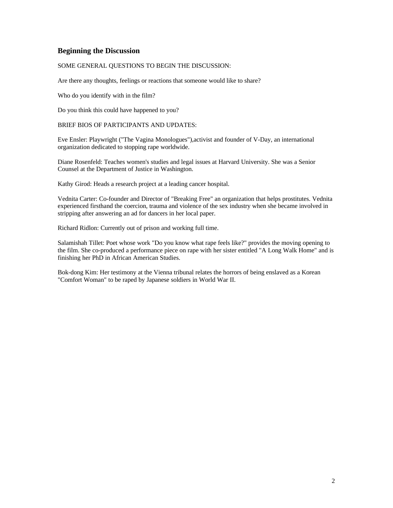### **Beginning the Discussion**

### SOME GENERAL QUESTIONS TO BEGIN THE DISCUSSION:

Are there any thoughts, feelings or reactions that someone would like to share?

Who do you identify with in the film?

Do you think this could have happened to you?

BRIEF BIOS OF PARTICIPANTS AND UPDATES:

Eve Ensler: Playwright ("The Vagina Monologues"),activist and founder of V-Day, an international organization dedicated to stopping rape worldwide.

Diane Rosenfeld: Teaches women's studies and legal issues at Harvard University. She was a Senior Counsel at the Department of Justice in Washington.

Kathy Girod: Heads a research project at a leading cancer hospital.

Vednita Carter: Co-founder and Director of "Breaking Free" an organization that helps prostitutes. Vednita experienced firsthand the coercion, trauma and violence of the sex industry when she became involved in stripping after answering an ad for dancers in her local paper.

Richard Ridlon: Currently out of prison and working full time.

Salamishah Tillet: Poet whose work "Do you know what rape feels like?" provides the moving opening to the film. She co-produced a performance piece on rape with her sister entitled "A Long Walk Home" and is finishing her PhD in African American Studies.

Bok-dong Kim: Her testimony at the Vienna tribunal relates the horrors of being enslaved as a Korean "Comfort Woman" to be raped by Japanese soldiers in World War II.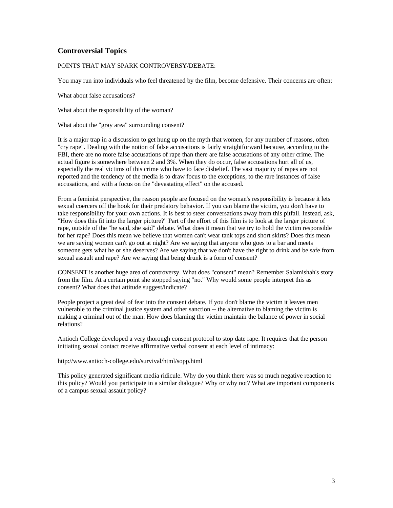# **Controversial Topics**

### POINTS THAT MAY SPARK CONTROVERSY/DEBATE:

You may run into individuals who feel threatened by the film, become defensive. Their concerns are often:

What about false accusations?

What about the responsibility of the woman?

What about the "gray area" surrounding consent?

It is a major trap in a discussion to get hung up on the myth that women, for any number of reasons, often "cry rape". Dealing with the notion of false accusations is fairly straightforward because, according to the FBI, there are no more false accusations of rape than there are false accusations of any other crime. The actual figure is somewhere between 2 and 3%. When they do occur, false accusations hurt all of us, especially the real victims of this crime who have to face disbelief. The vast majority of rapes are not reported and the tendency of the media is to draw focus to the exceptions, to the rare instances of false accusations, and with a focus on the "devastating effect" on the accused.

From a feminist perspective, the reason people are focused on the woman's responsibility is because it lets sexual coercers off the hook for their predatory behavior. If you can blame the victim, you don't have to take responsibility for your own actions. It is best to steer conversations away from this pitfall. Instead, ask, "How does this fit into the larger picture?" Part of the effort of this film is to look at the larger picture of rape, outside of the "he said, she said" debate. What does it mean that we try to hold the victim responsible for her rape? Does this mean we believe that women can't wear tank tops and short skirts? Does this mean we are saying women can't go out at night? Are we saying that anyone who goes to a bar and meets someone gets what he or she deserves? Are we saying that we don't have the right to drink and be safe from sexual assault and rape? Are we saying that being drunk is a form of consent?

CONSENT is another huge area of controversy. What does "consent" mean? Remember Salamishah's story from the film. At a certain point she stopped saying "no." Why would some people interpret this as consent? What does that attitude suggest/indicate?

People project a great deal of fear into the consent debate. If you don't blame the victim it leaves men vulnerable to the criminal justice system and other sanction -- the alternative to blaming the victim is making a criminal out of the man. How does blaming the victim maintain the balance of power in social relations?

Antioch College developed a very thorough consent protocol to stop date rape. It requires that the person initiating sexual contact receive affirmative verbal consent at each level of intimacy:

http://www.antioch-college.edu/survival/html/sopp.html

This policy generated significant media ridicule. Why do you think there was so much negative reaction to this policy? Would you participate in a similar dialogue? Why or why not? What are important components of a campus sexual assault policy?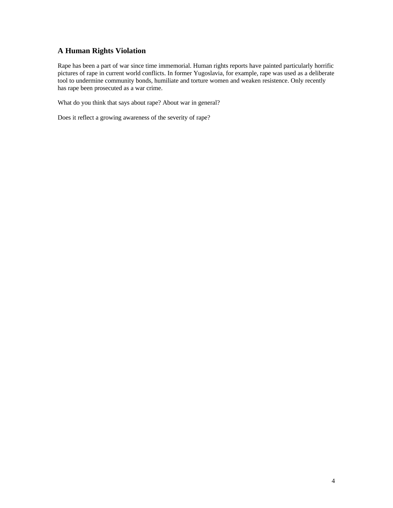# **A Human Rights Violation**

Rape has been a part of war since time immemorial. Human rights reports have painted particularly horrific pictures of rape in current world conflicts. In former Yugoslavia, for example, rape was used as a deliberate tool to undermine community bonds, humiliate and torture women and weaken resistence. Only recently has rape been prosecuted as a war crime.

What do you think that says about rape? About war in general?

Does it reflect a growing awareness of the severity of rape?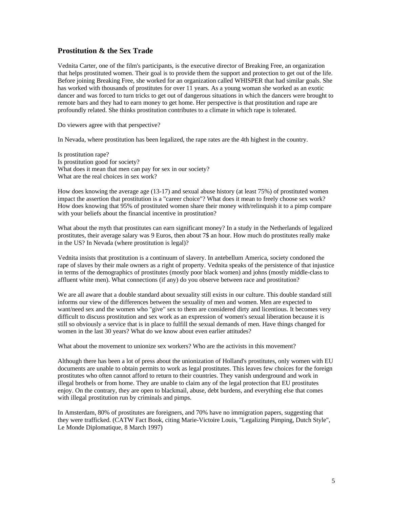### **Prostitution & the Sex Trade**

Vednita Carter, one of the film's participants, is the executive director of Breaking Free, an organization that helps prostituted women. Their goal is to provide them the support and protection to get out of the life. Before joining Breaking Free, she worked for an organization called WHISPER that had similar goals. She has worked with thousands of prostitutes for over 11 years. As a young woman she worked as an exotic dancer and was forced to turn tricks to get out of dangerous situations in which the dancers were brought to remote bars and they had to earn money to get home. Her perspective is that prostitution and rape are profoundly related. She thinks prostitution contributes to a climate in which rape is tolerated.

Do viewers agree with that perspective?

In Nevada, where prostitution has been legalized, the rape rates are the 4th highest in the country.

Is prostitution rape? Is prostitution good for society? What does it mean that men can pay for sex in our society? What are the real choices in sex work?

How does knowing the average age (13-17) and sexual abuse history (at least 75%) of prostituted women impact the assertion that prostitution is a "career choice"? What does it mean to freely choose sex work? How does knowing that 95% of prostituted women share their money with/relinquish it to a pimp compare with your beliefs about the financial incentive in prostitution?

What about the myth that prostitutes can earn significant money? In a study in the Netherlands of legalized prostitutes, their average salary was 9 Euros, then about 7\$ an hour. How much do prostitutes really make in the US? In Nevada (where prostitution is legal)?

Vednita insists that prostitution is a continuum of slavery. In antebellum America, society condoned the rape of slaves by their male owners as a right of property. Vednita speaks of the persistence of that injustice in terms of the demographics of prostitutes (mostly poor black women) and johns (mostly middle-class to affluent white men). What connections (if any) do you observe between race and prostitution?

We are all aware that a double standard about sexuality still exists in our culture. This double standard still informs our view of the differences between the sexuality of men and women. Men are expected to want/need sex and the women who "give" sex to them are considered dirty and licentious. It becomes very difficult to discuss prostitution and sex work as an expression of women's sexual liberation because it is still so obviously a service that is in place to fulfill the sexual demands of men. Have things changed for women in the last 30 years? What do we know about even earlier attitudes?

What about the movement to unionize sex workers? Who are the activists in this movement?

Although there has been a lot of press about the unionization of Holland's prostitutes, only women with EU documents are unable to obtain permits to work as legal prostitutes. This leaves few choices for the foreign prostitutes who often cannot afford to return to their countries. They vanish underground and work in illegal brothels or from home. They are unable to claim any of the legal protection that EU prostitutes enjoy. On the contrary, they are open to blackmail, abuse, debt burdens, and everything else that comes with illegal prostitution run by criminals and pimps.

In Amsterdam, 80% of prostitutes are foreigners, and 70% have no immigration papers, suggesting that they were trafficked. (CATW Fact Book, citing Marie-Victoire Louis, "Legalizing Pimping, Dutch Style", Le Monde Diplomatique, 8 March 1997)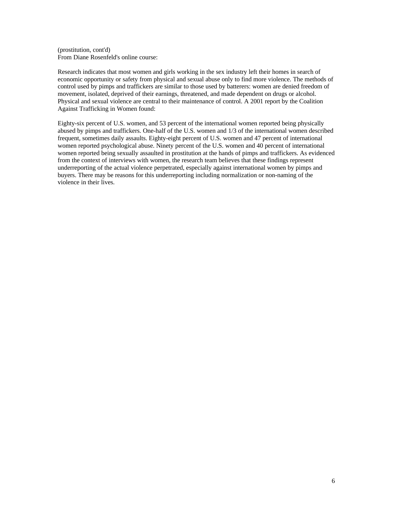(prostitution, cont'd) From Diane Rosenfeld's online course:

Research indicates that most women and girls working in the sex industry left their homes in search of economic opportunity or safety from physical and sexual abuse only to find more violence. The methods of control used by pimps and traffickers are similar to those used by batterers: women are denied freedom of movement, isolated, deprived of their earnings, threatened, and made dependent on drugs or alcohol. Physical and sexual violence are central to their maintenance of control. A 2001 report by the Coalition Against Trafficking in Women found:

Eighty-six percent of U.S. women, and 53 percent of the international women reported being physically abused by pimps and traffickers. One-half of the U.S. women and 1/3 of the international women described frequent, sometimes daily assaults. Eighty-eight percent of U.S. women and 47 percent of international women reported psychological abuse. Ninety percent of the U.S. women and 40 percent of international women reported being sexually assaulted in prostitution at the hands of pimps and traffickers. As evidenced from the context of interviews with women, the research team believes that these findings represent underreporting of the actual violence perpetrated, especially against international women by pimps and buyers. There may be reasons for this underreporting including normalization or non-naming of the violence in their lives.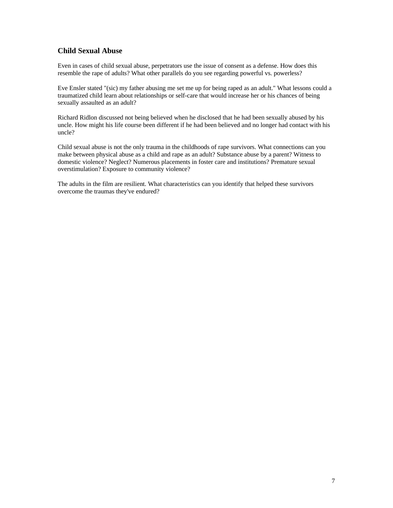# **Child Sexual Abuse**

Even in cases of child sexual abuse, perpetrators use the issue of consent as a defense. How does this resemble the rape of adults? What other parallels do you see regarding powerful vs. powerless?

Eve Ensler stated "(sic) my father abusing me set me up for being raped as an adult." What lessons could a traumatized child learn about relationships or self-care that would increase her or his chances of being sexually assaulted as an adult?

Richard Ridlon discussed not being believed when he disclosed that he had been sexually abused by his uncle. How might his life course been different if he had been believed and no longer had contact with his uncle?

Child sexual abuse is not the only trauma in the childhoods of rape survivors. What connections can you make between physical abuse as a child and rape as an adult? Substance abuse by a parent? Witness to domestic violence? Neglect? Numerous placements in foster care and institutions? Premature sexual overstimulation? Exposure to community violence?

The adults in the film are resilient. What characteristics can you identify that helped these survivors overcome the traumas they've endured?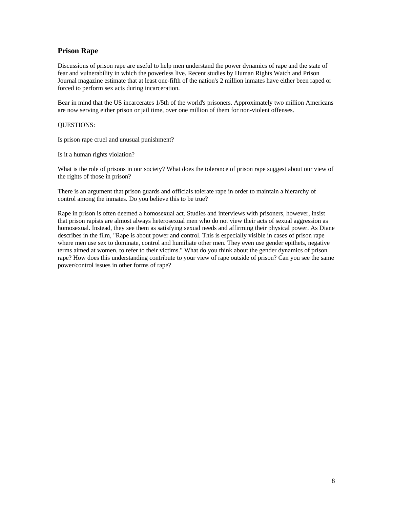## **Prison Rape**

Discussions of prison rape are useful to help men understand the power dynamics of rape and the state of fear and vulnerability in which the powerless live. Recent studies by Human Rights Watch and Prison Journal magazine estimate that at least one-fifth of the nation's 2 million inmates have either been raped or forced to perform sex acts during incarceration.

Bear in mind that the US incarcerates 1/5th of the world's prisoners. Approximately two million Americans are now serving either prison or jail time, over one million of them for non-violent offenses.

### QUESTIONS:

Is prison rape cruel and unusual punishment?

Is it a human rights violation?

What is the role of prisons in our society? What does the tolerance of prison rape suggest about our view of the rights of those in prison?

There is an argument that prison guards and officials tolerate rape in order to maintain a hierarchy of control among the inmates. Do you believe this to be true?

Rape in prison is often deemed a homosexual act. Studies and interviews with prisoners, however, insist that prison rapists are almost always heterosexual men who do not view their acts of sexual aggression as homosexual. Instead, they see them as satisfying sexual needs and affirming their physical power. As Diane describes in the film, "Rape is about power and control. This is especially visible in cases of prison rape where men use sex to dominate, control and humiliate other men. They even use gender epithets, negative terms aimed at women, to refer to their victims." What do you think about the gender dynamics of prison rape? How does this understanding contribute to your view of rape outside of prison? Can you see the same power/control issues in other forms of rape?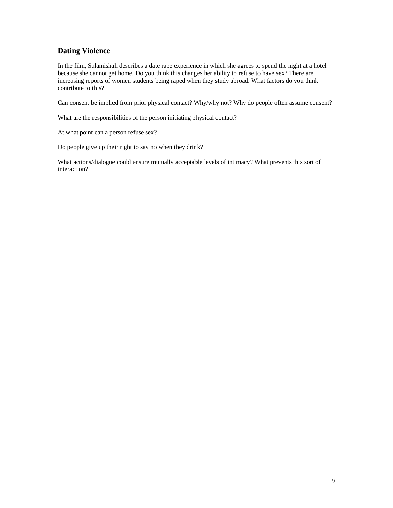# **Dating Violence**

In the film, Salamishah describes a date rape experience in which she agrees to spend the night at a hotel because she cannot get home. Do you think this changes her ability to refuse to have sex? There are increasing reports of women students being raped when they study abroad. What factors do you think contribute to this?

Can consent be implied from prior physical contact? Why/why not? Why do people often assume consent?

What are the responsibilities of the person initiating physical contact?

At what point can a person refuse sex?

Do people give up their right to say no when they drink?

What actions/dialogue could ensure mutually acceptable levels of intimacy? What prevents this sort of interaction?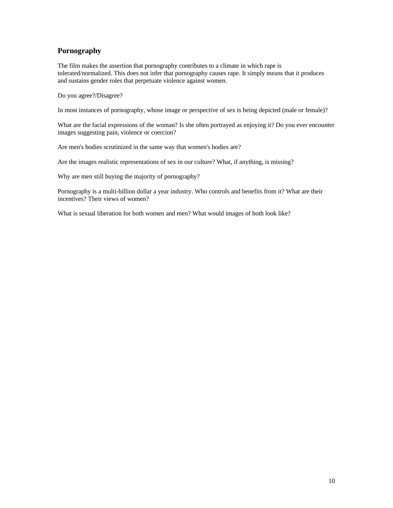# **Pornography**

The film makes the assertion that pornography contributes to a climate in which rape is tolerated/normalized. This does not infer that pornography causes rape. It simply means that it produces and sustains gender roles that perpetuate violence against women.

Do you agree?/Disagree?

In most instances of pornography, whose image or perspective of sex is being depicted (male or female)?

What are the facial expressions of the woman? Is she often portrayed as enjoying it? Do you ever encounter images suggesting pain, violence or coercion?

Are men's bodies scrutinized in the same way that women's bodies are?

Are the images realistic representations of sex in our culture? What, if anything, is missing?

Why are men still buying the majority of pornography?

Pornography is a multi-billion dollar a year industry. Who controls and benefits from it? What are their incentives? Their views of women?

What is sexual liberation for both women and men? What would images of both look like?